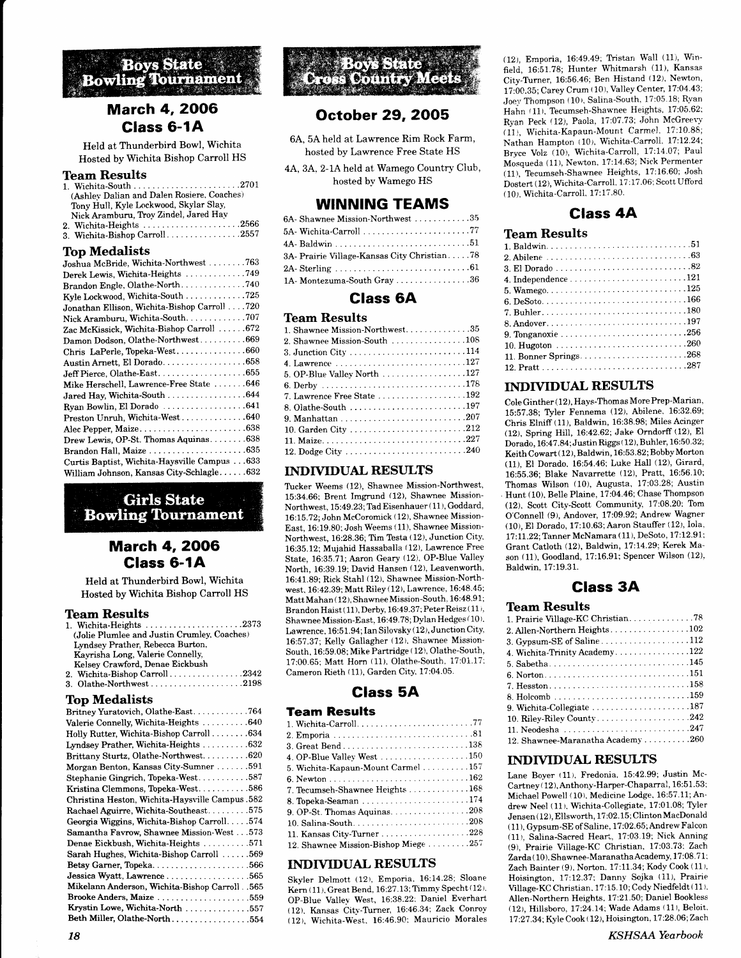

# **March 4, 2006** Glass 6-1A

Held at Thunderbird Bowl, Wichita Hosted by Wichita Bishop Carroll HS

## Team Results

| (Ashley Dalian and Dalen Rosiere, Coaches) |  |
|--------------------------------------------|--|
| Tony Hull, Kyle Lockwood, Skylar Slay,     |  |
| Nick Aramburu, Troy Zindel, Jared Hav      |  |
| 2. Wichita-Heights 2566                    |  |
| 3. Wichita-Bishop Carroll2557              |  |

### Top Medalists

| $\mathbf{X}$                                 |
|----------------------------------------------|
| Joshua McBride, Wichita-Northwest 763        |
| Derek Lewis, Wichita-Heights 749             |
| Brandon Engle, Olathe-North740               |
| Kyle Lockwood, Wichita-South 725             |
| Jonathan Ellison, Wichita-Bishop Carroll 720 |
| Nick Aramburu, Wichita-South707              |
| Zac McKissick, Wichita-Bishop Carroll  672   |
| Damon Dodson, Olathe-Northwest669            |
| Chris LaPerle, Topeka-West660                |
| Austin Arnett, El Dorado658                  |
| Jeff Pierce, Olathe-East655                  |
| Mike Herschell, Lawrence-Free State 646      |
| Jared Hay, Wichita-South 644                 |
| Ryan Bowlin, El Dorado 641                   |
| Preston Unruh, Wichita-West640               |
|                                              |
| Drew Lewis, OP-St. Thomas Aquinas638         |
| Brandon Hall, Maize 635                      |
| Curtis Baptist, Wichita-Haysville Campus 633 |
| William Johnson, Kansas City-Schlagle632     |
|                                              |

# **Girls State Bowling Tournament**

# **March 4, 2006** Glass 6-1A

Held at Thunderbird Bowl, Wichita Hosted by Wichita Bishop Carroll HS

### **Team Results**

| (Jolie Plumlee and Justin Crumley, Coaches) |
|---------------------------------------------|
| Lyndsey Prather, Rebecca Burton,            |
| Kavrisha Long, Valerie Connelly,            |
| Kelsey Crawford, Denae Eickbush             |
| 2. Wichita-Bishop Carroll2342               |
| 3. Olathe-Northwest2198                     |

#### Top Medalists

| Britney Yuratovich, Olathe-East764               |
|--------------------------------------------------|
| Valerie Connelly, Wichita-Heights 640            |
| Holly Rutter, Wichita-Bishop Carroll634          |
| Lyndsey Prather, Wichita-Heights 632             |
| Brittany Sturtz, Olathe-Northwest620             |
| Morgan Benton, Kansas City-Sumner591             |
| Stephanie Gingrich, Topeka-West587               |
| Kristina Clemmons, Topeka-West586                |
| Christina Heston, Wichita-Haysville Campus. 582  |
| Rachael Aguirre, Wichita-Southeast575            |
| Georgia Wiggins, Wichita-Bishop Carroll574       |
| Samantha Favrow, Shawnee Mission-West 573        |
| Denae Eickbush, Wichita-Heights 571              |
| Sarah Hughes, Wichita-Bishop Carroll 569         |
| Betsy Garner, Topeka566                          |
| Jessica Wyatt, Lawrence 565                      |
| Mikelann Anderson, Wichita-Bishop Carroll. . 565 |
| Brooke Anders, Maize 559                         |
| Krystin Lowe, Wichita-North 557                  |
| Beth Miller, Olathe-North554                     |



# October 29,2OO5

- 6A, 5A held at Lawrence Rim Rock Farm, hosted by Lawrence Free State HS
- 4A., 3A. 2-1A held at Wamego Country Club, hosted by Wamego HS

## WINNING TEAMS

| 6A-Shawnee Mission-Northwest 35             |  |
|---------------------------------------------|--|
|                                             |  |
|                                             |  |
| 3A- Prairie Village-Kansas City Christian78 |  |
|                                             |  |
| $1A$ - Montezuma-South Gray 36              |  |

# Glass 6A

## Team Results

| 1. Shawnee Mission-Northwest35 |
|--------------------------------|
| 2. Shawnee Mission-South 108   |
|                                |
| 4. Lawrence 127                |
| 5. OP-Blue Valley North 127    |
|                                |
| 7. Lawrence Free State 192     |
| 8. Olathe-South 197            |
|                                |
|                                |
|                                |
|                                |

## INDIVIDUAL RESULTS

Tucker Weems (12), Shawnee Mission-Northwest,  $15:34.66$ ; Brent Imgrund  $(12)$ , Shawnee Mission-Northwest,  $15:49.23$ ; Tad Eisenhauer (11), Goddard, 16:15.72; John McCoromick (12), Shawnee Mission-East, 16:19.80; Josh Weems (11), Shawnee Mission-Northwest, 16:28.36; Tim Testa (12), Junction City' 16:35.12: Mujahid Hassaballa (12), Lawrence Free State, 16:35.71;Aaron Geary (12), OP-Blue Valley North, 16:39.19; David Hansen (12), Leavenworth. 16:41.89: Rick Staht (12), Shawnee Mission-Northwest, 16:42.39; Matt Riley (12), Lawrence, 16:48.45; Matt Mahan ( 12 ). Shawnee Mission-South. 16:48.9 1 ; Brandon Haist ( 11), Derby. 16:49.37; Peter Reisz ( 11), Shawnee Mission-East, 16:49.78; Dylan Hedges (10). Lawrence, 16:51.94; Ian Silovsky ( 12), Junction City, 16:57.37; Kelly Gallagher (12). Shawnee Mission-South, 16:59.08; Mike Partridge (12), Olathe-South, 17:00.65; Matt Horn (11). Olathe-South. 17:01.17; Cameron Rieth (11), Garden City, 17:04.05.

## Glass 5A

#### Team Results

| 4. OP-Blue Valley West $\ldots \ldots \ldots \ldots \ldots 150$    |  |
|--------------------------------------------------------------------|--|
| 5. Wichita-Kapaun-Mount Carmel 157                                 |  |
|                                                                    |  |
| 7. Tecumseh-Shawnee Heights 168                                    |  |
|                                                                    |  |
| 9. OP-St. Thomas Aquinas. $\ldots \ldots \ldots \ldots \ldots 208$ |  |
|                                                                    |  |
| 11. Kansas City-Turner228                                          |  |
| 12. Shawnee Mission-Bishop Miege 257                               |  |

## INDTYIDUAL RESULTS

Skyler Delmott (12), Emporia, 16:14.28; Sloane  $Kern ( 11), Great Bend, 16:27.13; Timmy Specht ( 12).$ OP-Blue Valley West, 16:38.22; Daniel Everhart (12). Kansas City-Turner, 16:46.34; Zack Conroy (12), Wichita-West. 16:46.90; Mauricio Morales

 $(12)$ , Emporia, 16:49.49; Tristan Wall  $(11)$ , Winfield, 16:51.78; Hunter Whitmarsh (11), Kansas City-Turner, 16:56.46; Ben Histand (12), Newton, 17:00.35; Carey Crum (10), Valley Center, 17:04.43; Joey Thompson (10), Salina-South, 17:05 18; Ryan Hahn (11), Tecumseh-Shawnee Heights, 17:05.62; Ryan Peck (12), Paola, 17:07.73; John McGreevy  $(11)$ , Wichita-Kapaun-Mount Carmel, 17:10.88; Nathan Hampton (10), Wichita-Carroll, 17:12.24; Bryce Volz (10), Wichita-Carroll, 17:14.07; Paul Mosqueda (11), Newton, 17:14.63; Nick Permenter (11). Tecumseh-Shawnee Heights, 17:16.60; Josh Dostert (12), Wichita-Carroll, 17:17.06; Scott Ufford (10), Wichita-Carroll, 17:17.80.

# Class 4A

## Team Results

| 9. Tonganoxie 256 |  |  |  |  |  |  |  |  |  |  |  |  |  |  |  |
|-------------------|--|--|--|--|--|--|--|--|--|--|--|--|--|--|--|
|                   |  |  |  |  |  |  |  |  |  |  |  |  |  |  |  |
|                   |  |  |  |  |  |  |  |  |  |  |  |  |  |  |  |
|                   |  |  |  |  |  |  |  |  |  |  |  |  |  |  |  |

## INDTYIDUAL RESULTS

Cole Ginther ( 12 ), Hays-Thomas More Prep-Marian, 15:57.38; Tyler Fennema (12). Abilene. 16:32.69; Chris Elniff (11), Baldwin, 16:38.98; Miles Acinger (12), Spring Hill, 16:42.62; Jake Orndorff (12), El Dorado, 16:47.84; Justin Riggs (12), Buhler, 16:50.32; Keith  $\text{Cowart}(12)$ , Baldwin, 16:53.82; Bobby Morton (11), El Dorado. 16:54.46, Luke Hall (12), Girard, 16:55.36; Blake Navarrette (12), Pratt, 16:56.10; Thomas Wilson (10), Augusta, 17:03.28; Austin Hunt (10), Belle Plaine, 17:04.46; Chase Thompson (12). Scott City-Scott Community, 17:08.20; Tbm O'Connell (9), Andover, 17:09.92; Andrew Wagner  $(10)$ , El Dorado, 17:10.63; Aaron Stauffer  $(12)$ , Iola, 17:11.22; Tanner McNamara (11), DeSoto, 17:12.91; Grant Catloth (12), Baldwin, 17:t4-29; Kerek Mason (11). Goodland, 17:16.91; Spencer Wilson (12). Baldwin. 17:19.31.

# Class 3A

## Team Results

| 2. Allen-Northern Heights102      |
|-----------------------------------|
|                                   |
|                                   |
|                                   |
|                                   |
|                                   |
|                                   |
| 9. Wichita-Collegiate 187         |
| 10. Riley-Riley County242         |
|                                   |
| 12. Shawnee-Maranatha Academy 260 |

## INDIVIDUAL RESULTS

Lane Boyer (11), Fredonia, 15:42.99; Justin Mc-Cartney (12), Anthony-Harper-Chaparral, 16:51.53; Michael Powell (10). Medicine Lodge, 16:57.11; Andrew Neel (11), Wichita-Collegiate, 17:01.08; Tyler Jensen ( 12 ), Ellsworth, 17:02.15: Clinton MacDonald ( 11 ), Gypsum-SE of Saline. 1 7 :02. 65 ; Andrerv Falcon (11), Salina-Sacred Heart, 17:03.19; Nick Anning (9), Prairie Village-KC Christian, 17:03-73: Zach Zarda (10). Shawnee-Maranatha Academy, 17:08.71; Zach Bainter (9). Norton. 17:11.34; Kody Cook (11). Hoisington, 17:12.37; Danny Sojka (11), Prairie Village-KC Christian. 17:15.10; Cody Niedfeldt (11). Allen-Northern Heights, 17:21.50; Daniel Bookless (12), Hillsboro.IT:24.14; Wade Adams (11), Beloit. 77.27 .34:Kyle Cook (12), Hoisington. 17:28.06; Zach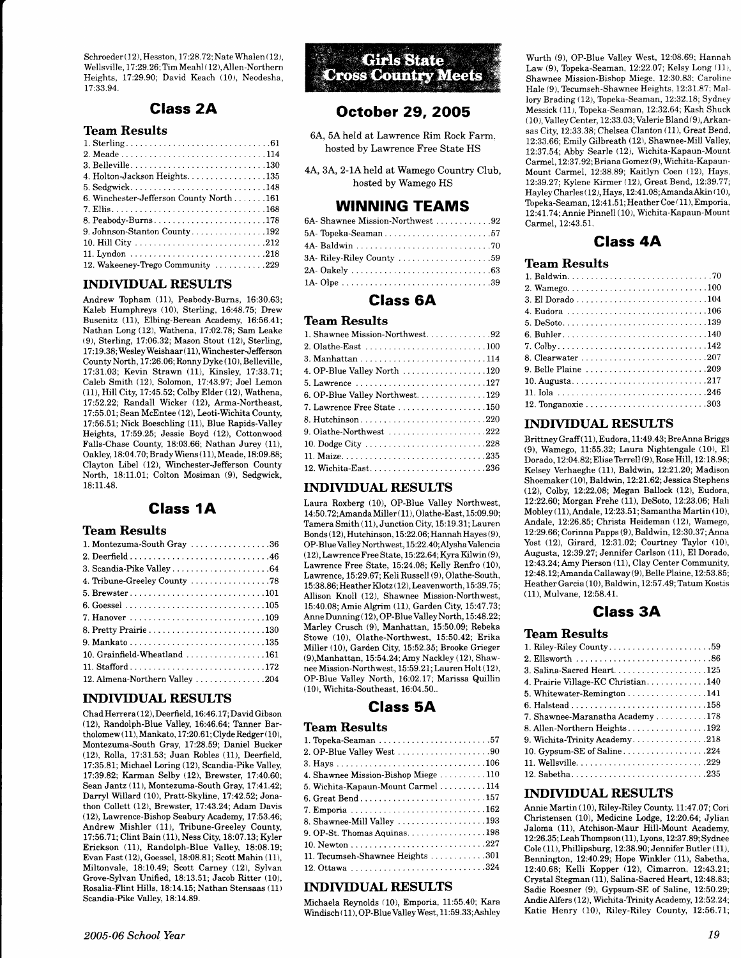Schroeder (12), Hesston, 17:28.72; Nate Whalen (12), Wellsville, 17:29.26; Tim Meahl (12), Allen-Northern Heights, 17:29.90; David Keach (10), Neodesha, 77.33.94.

# Class 2A

## Team Results

| 4. Holton-Jackson Heights. 135           |
|------------------------------------------|
| 5. Sedgwick148                           |
| 6. Winchester-Jefferson County North 161 |
|                                          |
| 8. Peabody-Burns178                      |
| 9. Johnson-Stanton County192             |
|                                          |
|                                          |
| 12. Wakeeney-Trego Community 229         |

#### INDTYIDUAL RESULTS

Andrew Topham (11), Peabody-Burns, 16:30.63; Kaleb Humphreys (10), Sterling, 16:48.75; Drew Busenitz (11), Elbing-Berean Academy, 16:56.41; Nathan Long (12), Wathena, 17:02.78; Sam Leake (9), Sterling,IT:06.32; Mason Stout (12), Sterling, 17:19.38; Wesley Weishaar (11), Winchester-Jefferson County North, 17:26.06; Ronny Dyke ( 10), Belleville, 17:31.03; Kevin Strawn (11), Kinsley, 17:33.71; Caleb Smith (12), Solomon, TT:43.97; Joel Lemon (11), Hill City, 17:45.52; Colby Elder (12), Wathena, 17 :52.22; Randall Wicker (12), Arma-Northeast, 17:55.01; Sean McEntee (12), Leoti-Wichita County, 17:56.51; Nick Boeschling (11), Blue Rapids-Vailey Heights, 17:59.25; Jessie Boyd (12), Cottonwood Falls-Chase County, 18:03.66; Nathan Jurey (11), Oakley, 18:04.70;Brady Wiens (11), Meade, 18:09.88; Claybon Libel (12), Winchester-Jefferson County North, 18:11.01; Colton Mosiman (9), Sedgwick, 18:11.48.

# Glass 1A

## Team Results

| 1. Montezuma-South Gray 36                                        |
|-------------------------------------------------------------------|
|                                                                   |
|                                                                   |
| 4. Tribune-Greeley County 78                                      |
|                                                                   |
|                                                                   |
|                                                                   |
|                                                                   |
|                                                                   |
| 10. Grainfield-Wheatland $\ldots \ldots \ldots \ldots \ldots 161$ |
|                                                                   |
| 12. Almena-Northern Valley 204                                    |

### INDIVIDUAL RESULTS

Chad Herrera ( 12), Deerfield, 16:46.17; David Gibson (12), Randolph-Blue Valley, 16:46.64; Tanner Bartholomew (11), Mankato, 17:20.61;Clyde Redger( 10), Montezuma-South Gray, 17:28.59; Daniel Bucker (12), Rolla, 17:31.53; Juan Robles (1L), Deerfield, 17:35.81; Michael Loring (12), Scandia-Pike Valley. 17:39.82; Karman Selby (12), Brewster, 17:40.60; Sean Jantz (11), Montezuma-South Gray, 17:41.42; Darryl Willard (10), Pratt-Skyline, 17:42.52; Jonathon Collett (12), Brewster, 17:43.24; Adam Davis (12), Lawrence-Bishop Seabury Academy, 17:53.46; Andrew Mishler (11), Tribune-Greeley County, 17:56.71; Clint Bain (11), Ness City, 18:07.13; Kyler Erickson (11), Randolph-Blue Valley, 18:08.19; Evan Fast (12), Goessel, 18:08.81; Scott Mahin (11), Miltonvale, 18:10.49; Scott Carney (12), Sylvan Grove-Sylvan Unified, 18:13.51; Jacob Ritter (10), Rosalia-Flint Hills, 18:14.15; Nathan Stensaas (11) Scandia-Pike Valley, 18:14.89.

**Girls State Cross Country Meets** 

# October 29,2OO5

- 64., 5A held at Lawrence Rim Rock Farm. hosted by Lawrence Free State HS
- 44, 3A,2-lAheld at Wamego Country Club, hosted by Wamego HS

# WINNING TEAMS

| 6A- Shawnee Mission-Northwest 92 |  |
|----------------------------------|--|
| 5A-Topeka-Seaman57               |  |
|                                  |  |
|                                  |  |
|                                  |  |
|                                  |  |

## Class 6A

#### **Team Results**

| 4. OP-Blue Valley North 120                                  |
|--------------------------------------------------------------|
|                                                              |
| 6. OP-Blue Valley Northwest129                               |
| 7. Lawrence Free State 150                                   |
|                                                              |
| 9. Olathe-Northwest $\ldots \ldots \ldots \ldots \ldots 222$ |
|                                                              |
|                                                              |
| 12. Wichita-East236                                          |

#### INDIVIDUAL RESULTS

Laura Roxberg (10), OP-Blue Valley Northwest, 14:50.7 2;Amanda Miller ( 11), Olathe-East, 15:09.90; Tamera Smith (11), Junction City, 15:19.31; Lauren Bonds ( 12), Hutchinson, 15:22.06; Hannah Hayes (9), OP-Blue Valley Northwest, L5 :22. 40 ; Nysha Valencia  $(12)$ , Lawrence Free State, 15:22.64; Kyra Kilwin  $(9)$ , Lawrence Free State, 15:24.08; Kelly Renfro (10), Lawrence, 15:29.67; Keli Russell (9), Olathe-South, 15:38.86;Heather Klotz ( 12), Leavenworth, 15:39.75; Allison Knoll (12), Shawnee Mission-Northwest, 15:40.08; Amie Algrim (11), Garden City, 15:47.73; Anne Dunning (12), OP-Blue Valley North, 15:48.22; Marley Crusch (9), Manhattan, 15:50.09; Rebeka Stowe (10). Olathe-Northwest, 15:50.42; Erika Miller (10), Garden City, 15:52.35; Brooke Grieger (9), Manhattan, 15:54.24; Amy Nackley (12), Shawnee Mission-Northwest, 15:59.21; Lauren Holt (12), OP-Blue Valley North, 16:02.17, Marissa Quillin ( 10), Wichita-Southeast, 16:04.50..

## Glass 5A

### Team Results

| 4. Shawnee Mission-Bishop Miege  110 |
|--------------------------------------|
| 5. Wichita-Kapaun-Mount Carmel  114  |
|                                      |
| 7. Emporia 162                       |
| 8. Shawnee-Mill Valley 193           |
|                                      |
|                                      |
| 11. Tecumseh-Shawnee Heights 301     |
|                                      |

### INDTYIDUAL RESULTS

Michaela Reynolds (10), Emporia, 11:55.40; Kara Windisch (11), OP-Blue Valley West, 11:59.33; Ashley

Wurth (9), OP-Blue Valley West, 12:08.69; Hannah Law  $(9)$ , Topeka-Seaman, 12:22.07; Kelsy Long  $(11)$ , Shawnee Mission-Bishop Miege. 12:30.83; Caroline Hale (9), Tecumseh-Shawnee Heights. 12:31.87: Mallory Brading (12), Topeka-Seaman, 12:32.18; Sydney Messick (11), Topeka-Seaman, 12:32.64; Kash Shuck ( 1 0 ), Valley Center, 12 :33. 03 ; Valerie Bland ( 9), Arkansas City, 12:33.38; Chelsea Clanton (11), Great Bend, 12:33.66; Emily Gilbreath (12), Shawnee-Mill Valley, 12:37 .54; Abby Searle (12), Wichita-Kapaun-Mount Carmel, 12:37.92; Briana Gomez (9), Wichita-Kapaun-Mount Carmel, 12:38.89; Kaitlyn Coen (12), Hays. 12:39.27; Kylene Kirmer (12), Great Bend, 12:39.77; Hayley Charles ( 12 ), Hays, 12:4 1.08; AmandaAkin ( 10 ), Topeka-Seaman, 12:41.51; Heather Coe (11), Emporia, 12:41.74; Annie Pinnell (10), Wichita-Kapaun-Mount Carmel, 12:43.51.

# Class 4A

#### Team Results

| 4. Eudora 106       |
|---------------------|
|                     |
|                     |
|                     |
|                     |
| 9. Belle Plaine 209 |
|                     |
|                     |
|                     |

#### INDIVIDUAL RESULTS

Brittney Graff(11), Eudora, 11:49.43; BreAnna Briggs (9), Wamego, 11:55.32; Laura Nightengale (10), El Dorado, 12:04.82; Elise Terrell (9), Rose Hill, 12:18.98; Kelsey Verhaeghe (11), Baldwin, 12:27.20; Madison Shoemaker (10), Baldwin, 12:21.62; Jessica Stephens (12), Colby, 12.22.08; Megan Ballock (12), Eudora, 12:22.60; Morgan Frehe (11), DeSoto, 12:23.06; Hali Mobley (11), Andale, 12:23.51; Samantha Martin (10), Andale, 12:26.85; Christa Heideman (12), Wamego, 12:29.66; Corinna Papps (9), Baldwin, 12 :30. 3 7 ; Anna Yost (12), Girard, 12:37.02; Courtney Taylor (10), Augusta, 12:39.27; Jennifer Carlson (11), El Dorado, l2:43.24;Amy Pierson (11), Clay Center Community, 12:48.12;Amanda Callaway (9), Belle Plaine, 12:53.85; Heather Garcia (10), Baldwin, 12:57.49; Tatum Kostis ( 11), Mulvane, 12:58.41.

# Glass 3A

### Team Results

| 3. Salina-Sacred Heart125                                        |
|------------------------------------------------------------------|
| 4. Prairie Village-KC Christian140                               |
| 5. Whitewater-Remington $\ldots \ldots \ldots \ldots \ldots 141$ |
|                                                                  |
| 7. Shawnee-Maranatha Academy $\ldots \ldots \ldots 178$          |
| 8. Allen-Northern Heights192                                     |
| 9. Wichita-Trinity Academy218                                    |
| 10. Gypsum-SE of Saline224                                       |
|                                                                  |
| 12. Sabetha235                                                   |

## INDIVIDUAL RESULTS

Annie Martin (10), Riley-Riley County, 11:47.07; Cori Christensen (10), Medicine Lodge, 12:20.64; Jylian Jaloma (11), Atchison-Maur Hill-Mount Academy, 12 :26.35 ; Leah Thompson ( 11 ), Lyons, 12 :37.89; Sydnee  $Cole (11)$ , Phillipsburg,  $12:38.90$ ; Jennifer Butler (11), Bennington, 12:40.29; Hope Winkler (11), Sabetha, 12:40.68; Kelli Kopper (12), Cimarron. l2:43.2I; Crystal Stegman (11), Salina-Sacred Heart, 12:48.83; Sadie Roesner (9), Gypsum-SE of Saline, 12:50.29; Andie Alfers (12), Wichita-Trinity Academy, 12:52.24; Katie Henry (10), Riley-Riley County, 12:56.7I;